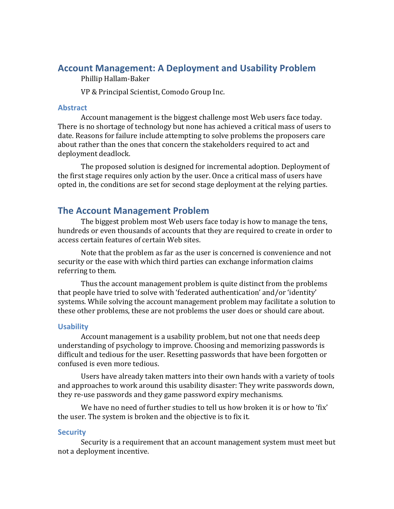# Account Management: A Deployment and Usability Problem

## Phillip Hallam-Baker

VP & Principal Scientist, Comodo Group Inc.

#### **Abstract**

Account management is the biggest challenge most Web users face today. There is no shortage of technology but none has achieved a critical mass of users to date. Reasons for failure include attempting to solve problems the proposers care about rather than the ones that concern the stakeholders required to act and deployment deadlock.

The proposed solution is designed for incremental adoption. Deployment of the first stage requires only action by the user. Once a critical mass of users have opted in, the conditions are set for second stage deployment at the relying parties.

# **The Account Management Problem**

The biggest problem most Web users face today is how to manage the tens, hundreds or even thousands of accounts that they are required to create in order to access certain features of certain Web sites.

Note that the problem as far as the user is concerned is convenience and not security or the ease with which third parties can exchange information claims referring to them.

Thus the account management problem is quite distinct from the problems that people have tried to solve with 'federated authentication' and/or 'identity' systems. While solving the account management problem may facilitate a solution to these other problems, these are not problems the user does or should care about.

#### **Usability**

Account management is a usability problem, but not one that needs deep understanding of psychology to improve. Choosing and memorizing passwords is difficult and tedious for the user. Resetting passwords that have been forgotten or confused is even more tedious.

Users have already taken matters into their own hands with a variety of tools and approaches to work around this usability disaster: They write passwords down, they re-use passwords and they game password expiry mechanisms.

We have no need of further studies to tell us how broken it is or how to 'fix' the user. The system is broken and the objective is to fix it.

#### **Security**

Security is a requirement that an account management system must meet but not a deployment incentive.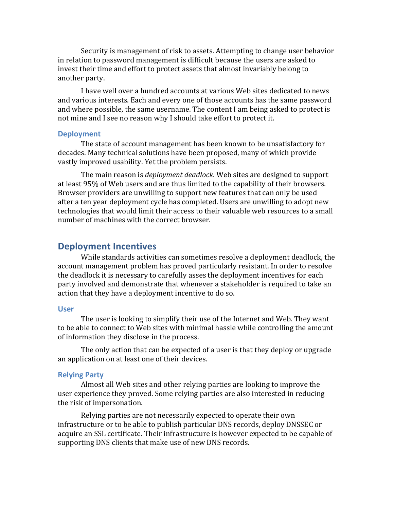Security is management of risk to assets. Attempting to change user behavior in relation to password management is difficult because the users are asked to invest their time and effort to protect assets that almost invariably belong to another party.

I have well over a hundred accounts at various Web sites dedicated to news and various interests. Each and every one of those accounts has the same password and where possible, the same username. The content I am being asked to protect is not mine and I see no reason why I should take effort to protect it.

#### **Deployment**

The state of account management has been known to be unsatisfactory for decades. Many technical solutions have been proposed, many of which provide vastly improved usability. Yet the problem persists.

The main reason is *deployment deadlock*. Web sites are designed to support at least 95% of Web users and are thus limited to the capability of their browsers. Browser providers are unwilling to support new features that can only be used after a ten year deployment cycle has completed. Users are unwilling to adopt new technologies that would limit their access to their valuable web resources to a small number of machines with the correct browser.

## **Deployment Incentives**

While standards activities can sometimes resolve a deployment deadlock, the account management problem has proved particularly resistant. In order to resolve the deadlock it is necessary to carefully asses the deployment incentives for each party involved and demonstrate that whenever a stakeholder is required to take an action that they have a deployment incentive to do so.

#### **User**

The user is looking to simplify their use of the Internet and Web. They want to be able to connect to Web sites with minimal hassle while controlling the amount of information they disclose in the process.

The only action that can be expected of a user is that they deploy or upgrade an application on at least one of their devices.

#### **Relying Party**

Almost all Web sites and other relying parties are looking to improve the user experience they proved. Some relying parties are also interested in reducing the risk of impersonation.

Relying parties are not necessarily expected to operate their own infrastructure or to be able to publish particular DNS records, deploy DNSSEC or acquire an SSL certificate. Their infrastructure is however expected to be capable of supporting DNS clients that make use of new DNS records.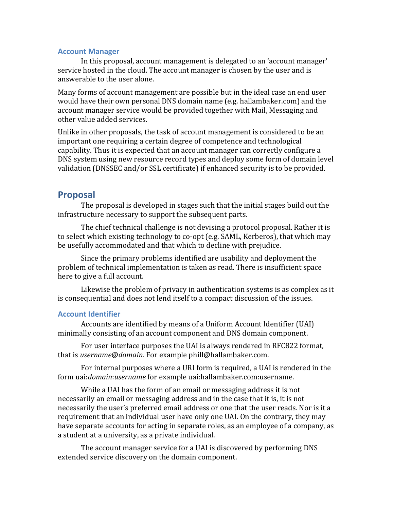#### **Account Manager**

In this proposal, account management is delegated to an 'account manager' service hosted in the cloud. The account manager is chosen by the user and is answerable to the user alone.

Many forms of account management are possible but in the ideal case an end user would have their own personal DNS domain name (e.g. hallambaker.com) and the account manager service would be provided together with Mail, Messaging and other value added services.

Unlike in other proposals, the task of account management is considered to be an important one requiring a certain degree of competence and technological capability. Thus it is expected that an account manager can correctly configure a DNS system using new resource record types and deploy some form of domain level validation (DNSSEC and/or SSL certificate) if enhanced security is to be provided.

## **Proposal**

The proposal is developed in stages such that the initial stages build out the infrastructure necessary to support the subsequent parts.

The chief technical challenge is not devising a protocol proposal. Rather it is to select which existing technology to co-opt (e.g. SAML, Kerberos), that which may be usefully accommodated and that which to decline with prejudice.

Since the primary problems identified are usability and deployment the problem of technical implementation is taken as read. There is insufficient space here to give a full account.

Likewise the problem of privacy in authentication systems is as complex as it is consequential and does not lend itself to a compact discussion of the issues.

#### **Account'Identifier**

Accounts are identified by means of a Uniform Account Identifier (UAI) minimally consisting of an account component and DNS domain component.

For user interface purposes the UAI is always rendered in RFC822 format, that is *username@domain*. For example phill@hallambaker.com.

For internal purposes where a URI form is required, a UAI is rendered in the form uai:*domain:username* for example uai:hallambaker.com:username.

While a UAI has the form of an email or messaging address it is not necessarily an email or messaging address and in the case that it is, it is not necessarily the user's preferred email address or one that the user reads. Nor is it a requirement that an individual user have only one UAI. On the contrary, they may have separate accounts for acting in separate roles, as an employee of a company, as a student at a university, as a private individual.

The account manager service for a UAI is discovered by performing DNS extended service discovery on the domain component.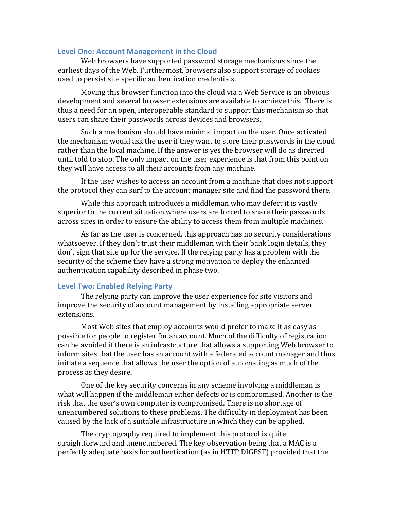#### Level One: Account Management in the Cloud

Web browsers have supported password storage mechanisms since the earliest days of the Web. Furthermost, browsers also support storage of cookies used to persist site specific authentication credentials.

Moving this browser function into the cloud via a Web Service is an obvious development and several browser extensions are available to achieve this. There is thus a need for an open, interoperable standard to support this mechanism so that users can share their passwords across devices and browsers.

Such a mechanism should have minimal impact on the user. Once activated the mechanism would ask the user if they want to store their passwords in the cloud rather than the local machine. If the answer is yes the browser will do as directed until told to stop. The only impact on the user experience is that from this point on they will have access to all their accounts from any machine.

If the user wishes to access an account from a machine that does not support the protocol they can surf to the account manager site and find the password there.

While this approach introduces a middleman who may defect it is vastly superior to the current situation where users are forced to share their passwords across sites in order to ensure the ability to access them from multiple machines.

As far as the user is concerned, this approach has no security considerations whatsoever. If they don't trust their middleman with their bank login details, they don't sign that site up for the service. If the relying party has a problem with the security of the scheme they have a strong motivation to deploy the enhanced authentication capability described in phase two.

## **Level Two: Enabled Relying Party**

The relying party can improve the user experience for site visitors and improve the security of account management by installing appropriate server extensions.

Most Web sites that employ accounts would prefer to make it as easy as possible for people to register for an account. Much of the difficulty of registration can be avoided if there is an infrastructure that allows a supporting Web browser to inform sites that the user has an account with a federated account manager and thus initiate a sequence that allows the user the option of automating as much of the process as they desire.

One of the key security concerns in any scheme involving a middleman is what will happen if the middleman either defects or is compromised. Another is the risk that the user's own computer is compromised. There is no shortage of unencumbered solutions to these problems. The difficulty in deployment has been caused by the lack of a suitable infrastructure in which they can be applied.

The cryptography required to implement this protocol is quite straightforward and unencumbered. The key observation being that a MAC is a perfectly adequate basis for authentication (as in HTTP DIGEST) provided that the